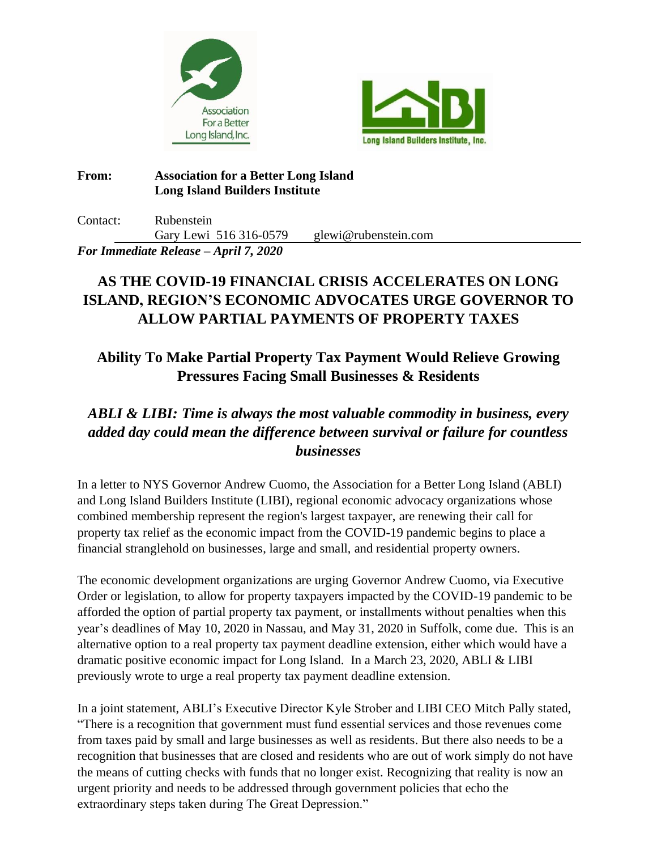



#### **From: Association for a Better Long Island Long Island Builders Institute**

Contact: Rubenstein Gary Lewi 516 316-0579 glewi@rubenstein.com *For Immediate Release – April 7, 2020*

# **AS THE COVID-19 FINANCIAL CRISIS ACCELERATES ON LONG ISLAND, REGION'S ECONOMIC ADVOCATES URGE GOVERNOR TO ALLOW PARTIAL PAYMENTS OF PROPERTY TAXES**

## **Ability To Make Partial Property Tax Payment Would Relieve Growing Pressures Facing Small Businesses & Residents**

### *ABLI & LIBI: Time is always the most valuable commodity in business, every added day could mean the difference between survival or failure for countless businesses*

In a letter to NYS Governor Andrew Cuomo, the Association for a Better Long Island (ABLI) and Long Island Builders Institute (LIBI), regional economic advocacy organizations whose combined membership represent the region's largest taxpayer, are renewing their call for property tax relief as the economic impact from the COVID-19 pandemic begins to place a financial stranglehold on businesses, large and small, and residential property owners.

The economic development organizations are urging Governor Andrew Cuomo, via Executive Order or legislation, to allow for property taxpayers impacted by the COVID-19 pandemic to be afforded the option of partial property tax payment, or installments without penalties when this year's deadlines of May 10, 2020 in Nassau, and May 31, 2020 in Suffolk, come due. This is an alternative option to a real property tax payment deadline extension, either which would have a dramatic positive economic impact for Long Island. In a March 23, 2020, ABLI & LIBI previously wrote to urge a real property tax payment deadline extension.

In a joint statement, ABLI's Executive Director Kyle Strober and LIBI CEO Mitch Pally stated, "There is a recognition that government must fund essential services and those revenues come from taxes paid by small and large businesses as well as residents. But there also needs to be a recognition that businesses that are closed and residents who are out of work simply do not have the means of cutting checks with funds that no longer exist. Recognizing that reality is now an urgent priority and needs to be addressed through government policies that echo the extraordinary steps taken during The Great Depression."